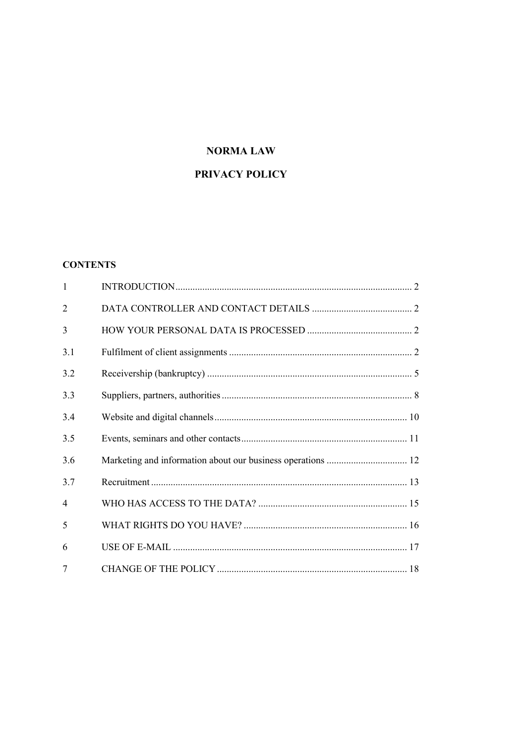## **NORMALAW**

# PRIVACY POLICY

#### **CONTENTS**

| $\mathbf{1}$   |                                                             |  |
|----------------|-------------------------------------------------------------|--|
| 2              |                                                             |  |
| 3              |                                                             |  |
| 3.1            |                                                             |  |
| 3.2            |                                                             |  |
| 3.3            |                                                             |  |
| 3.4            |                                                             |  |
| 3.5            |                                                             |  |
| 3.6            | Marketing and information about our business operations  12 |  |
| 3.7            |                                                             |  |
| $\overline{4}$ |                                                             |  |
| 5              |                                                             |  |
| 6              |                                                             |  |
| 7              |                                                             |  |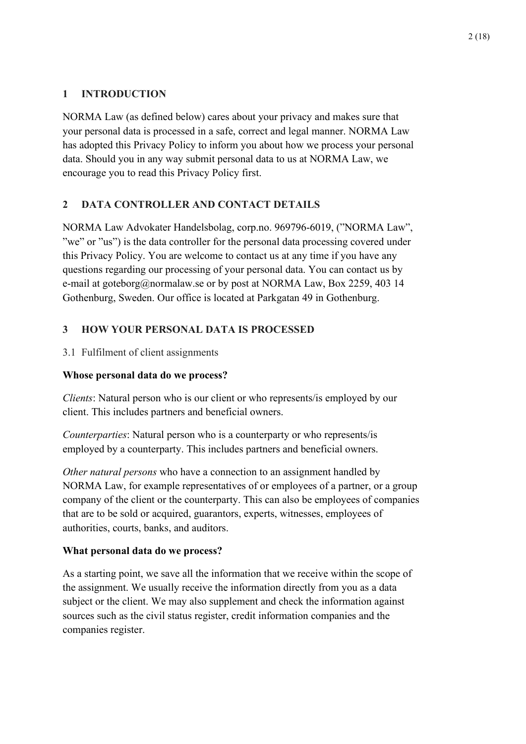# <span id="page-1-0"></span>**1 INTRODUCTION**

NORMA Law (as defined below) cares about your privacy and makes sure that your personal data is processed in a safe, correct and legal manner. NORMA Law has adopted this Privacy Policy to inform you about how we process your personal data. Should you in any way submit personal data to us at NORMA Law, we encourage you to read this Privacy Policy first.

# <span id="page-1-1"></span>**2 DATA CONTROLLER AND CONTACT DETAILS**

NORMA Law Advokater Handelsbolag, corp.no. 969796-6019, ("NORMA Law", "we" or "us") is the data controller for the personal data processing covered under this Privacy Policy. You are welcome to contact us at any time if you have any questions regarding our processing of your personal data. You can contact us by e-mail at goteborg@normalaw.se or by post at NORMA Law, Box 2259, 403 14 Gothenburg, Sweden. Our office is located at Parkgatan 49 in Gothenburg.

# <span id="page-1-2"></span>**3 HOW YOUR PERSONAL DATA IS PROCESSED**

<span id="page-1-3"></span>3.1 Fulfilment of client assignments

# **Whose personal data do we process?**

*Clients*: Natural person who is our client or who represents/is employed by our client. This includes partners and beneficial owners.

*Counterparties*: Natural person who is a counterparty or who represents/is employed by a counterparty. This includes partners and beneficial owners.

*Other natural persons* who have a connection to an assignment handled by NORMA Law, for example representatives of or employees of a partner, or a group company of the client or the counterparty. This can also be employees of companies that are to be sold or acquired, guarantors, experts, witnesses, employees of authorities, courts, banks, and auditors.

# **What personal data do we process?**

As a starting point, we save all the information that we receive within the scope of the assignment. We usually receive the information directly from you as a data subject or the client. We may also supplement and check the information against sources such as the civil status register, credit information companies and the companies register.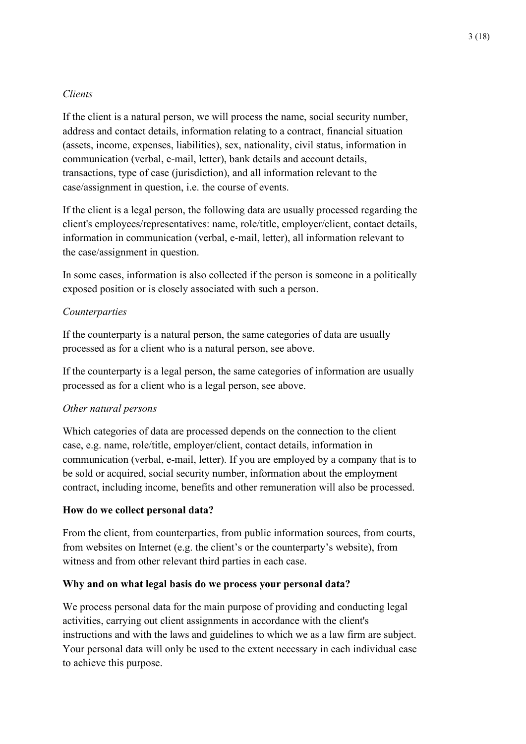### *Clients*

If the client is a natural person, we will process the name, social security number, address and contact details, information relating to a contract, financial situation (assets, income, expenses, liabilities), sex, nationality, civil status, information in communication (verbal, e-mail, letter), bank details and account details, transactions, type of case (jurisdiction), and all information relevant to the case/assignment in question, i.e. the course of events.

If the client is a legal person, the following data are usually processed regarding the client's employees/representatives: name, role/title, employer/client, contact details, information in communication (verbal, e-mail, letter), all information relevant to the case/assignment in question.

In some cases, information is also collected if the person is someone in a politically exposed position or is closely associated with such a person.

#### *Counterparties*

If the counterparty is a natural person, the same categories of data are usually processed as for a client who is a natural person, see above.

If the counterparty is a legal person, the same categories of information are usually processed as for a client who is a legal person, see above.

#### *Other natural persons*

Which categories of data are processed depends on the connection to the client case, e.g. name, role/title, employer/client, contact details, information in communication (verbal, e-mail, letter). If you are employed by a company that is to be sold or acquired, social security number, information about the employment contract, including income, benefits and other remuneration will also be processed.

#### **How do we collect personal data?**

From the client, from counterparties, from public information sources, from courts, from websites on Internet (e.g. the client's or the counterparty's website), from witness and from other relevant third parties in each case.

#### **Why and on what legal basis do we process your personal data?**

We process personal data for the main purpose of providing and conducting legal activities, carrying out client assignments in accordance with the client's instructions and with the laws and guidelines to which we as a law firm are subject. Your personal data will only be used to the extent necessary in each individual case to achieve this purpose.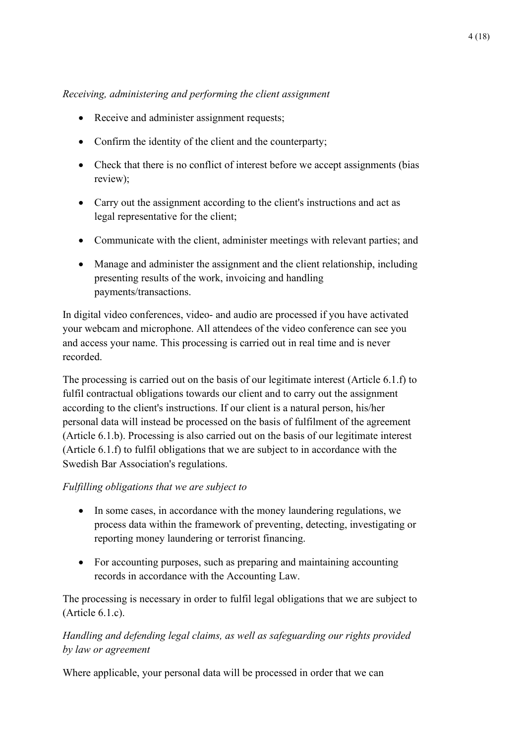# *Receiving, administering and performing the client assignment*

- Receive and administer assignment requests;
- Confirm the identity of the client and the counterparty;
- Check that there is no conflict of interest before we accept assignments (bias review);
- Carry out the assignment according to the client's instructions and act as legal representative for the client;
- Communicate with the client, administer meetings with relevant parties; and
- Manage and administer the assignment and the client relationship, including presenting results of the work, invoicing and handling payments/transactions.

In digital video conferences, video- and audio are processed if you have activated your webcam and microphone. All attendees of the video conference can see you and access your name. This processing is carried out in real time and is never recorded.

The processing is carried out on the basis of our legitimate interest (Article 6.1.f) to fulfil contractual obligations towards our client and to carry out the assignment according to the client's instructions. If our client is a natural person, his/her personal data will instead be processed on the basis of fulfilment of the agreement (Article 6.1.b). Processing is also carried out on the basis of our legitimate interest (Article 6.1.f) to fulfil obligations that we are subject to in accordance with the Swedish Bar Association's regulations.

# *Fulfilling obligations that we are subject to*

- In some cases, in accordance with the money laundering regulations, we process data within the framework of preventing, detecting, investigating or reporting money laundering or terrorist financing.
- For accounting purposes, such as preparing and maintaining accounting records in accordance with the Accounting Law.

The processing is necessary in order to fulfil legal obligations that we are subject to (Article 6.1.c).

# *Handling and defending legal claims, as well as safeguarding our rights provided by law or agreement*

Where applicable, your personal data will be processed in order that we can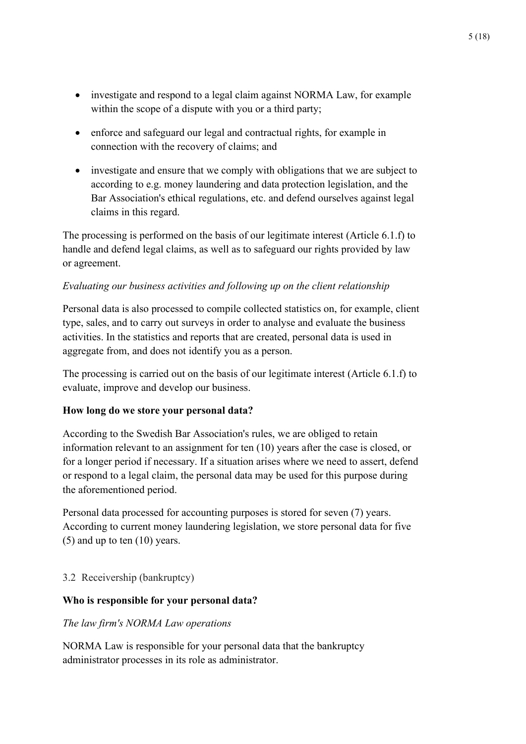- investigate and respond to a legal claim against NORMA Law, for example within the scope of a dispute with you or a third party;
- enforce and safeguard our legal and contractual rights, for example in connection with the recovery of claims; and
- investigate and ensure that we comply with obligations that we are subject to according to e.g. money laundering and data protection legislation, and the Bar Association's ethical regulations, etc. and defend ourselves against legal claims in this regard.

The processing is performed on the basis of our legitimate interest (Article 6.1.f) to handle and defend legal claims, as well as to safeguard our rights provided by law or agreement.

# *Evaluating our business activities and following up on the client relationship*

Personal data is also processed to compile collected statistics on, for example, client type, sales, and to carry out surveys in order to analyse and evaluate the business activities. In the statistics and reports that are created, personal data is used in aggregate from, and does not identify you as a person.

The processing is carried out on the basis of our legitimate interest (Article 6.1.f) to evaluate, improve and develop our business.

## **How long do we store your personal data?**

According to the Swedish Bar Association's rules, we are obliged to retain information relevant to an assignment for ten (10) years after the case is closed, or for a longer period if necessary. If a situation arises where we need to assert, defend or respond to a legal claim, the personal data may be used for this purpose during the aforementioned period.

Personal data processed for accounting purposes is stored for seven (7) years. According to current money laundering legislation, we store personal data for five (5) and up to ten (10) years.

# <span id="page-4-0"></span>3.2 Receivership (bankruptcy)

## **Who is responsible for your personal data?**

## *The law firm's NORMA Law operations*

NORMA Law is responsible for your personal data that the bankruptcy administrator processes in its role as administrator.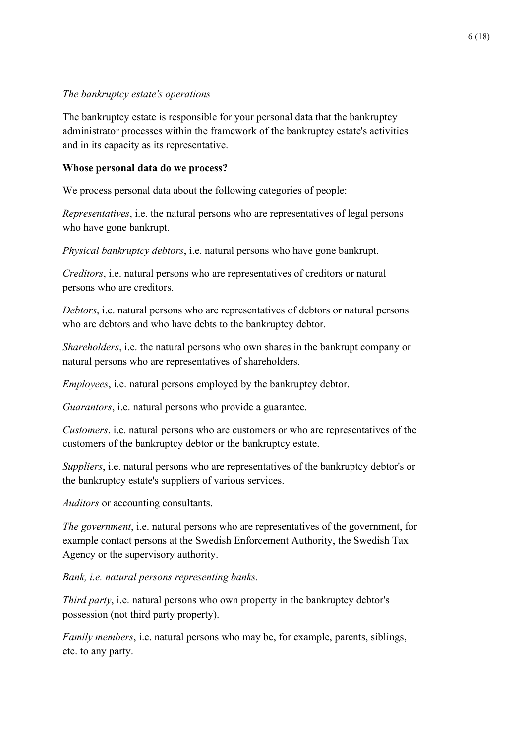### *The bankruptcy estate's operations*

The bankruptcy estate is responsible for your personal data that the bankruptcy administrator processes within the framework of the bankruptcy estate's activities and in its capacity as its representative.

### **Whose personal data do we process?**

We process personal data about the following categories of people:

*Representatives*, i.e. the natural persons who are representatives of legal persons who have gone bankrupt.

*Physical bankruptcy debtors*, i.e. natural persons who have gone bankrupt.

*Creditors*, i.e. natural persons who are representatives of creditors or natural persons who are creditors.

*Debtors*, i.e. natural persons who are representatives of debtors or natural persons who are debtors and who have debts to the bankruptcy debtor.

*Shareholders*, i.e. the natural persons who own shares in the bankrupt company or natural persons who are representatives of shareholders.

*Employees*, i.e. natural persons employed by the bankruptcy debtor.

*Guarantors*, i.e. natural persons who provide a guarantee.

*Customers*, i.e. natural persons who are customers or who are representatives of the customers of the bankruptcy debtor or the bankruptcy estate.

*Suppliers*, i.e. natural persons who are representatives of the bankruptcy debtor's or the bankruptcy estate's suppliers of various services.

*Auditors* or accounting consultants.

*The government*, i.e. natural persons who are representatives of the government, for example contact persons at the Swedish Enforcement Authority, the Swedish Tax Agency or the supervisory authority.

*Bank, i.e. natural persons representing banks.*

*Third party*, i.e. natural persons who own property in the bankruptcy debtor's possession (not third party property).

*Family members*, i.e. natural persons who may be, for example, parents, siblings, etc. to any party.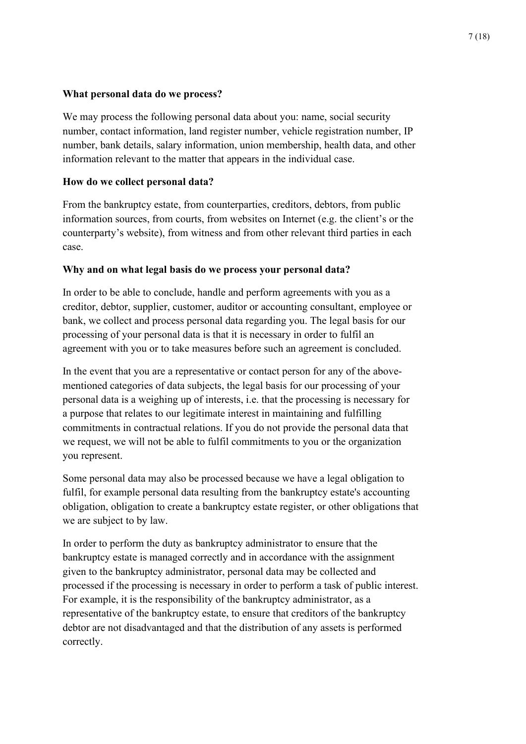#### **What personal data do we process?**

We may process the following personal data about you: name, social security number, contact information, land register number, vehicle registration number, IP number, bank details, salary information, union membership, health data, and other information relevant to the matter that appears in the individual case.

#### **How do we collect personal data?**

From the bankruptcy estate, from counterparties, creditors, debtors, from public information sources, from courts, from websites on Internet (e.g. the client's or the counterparty's website), from witness and from other relevant third parties in each case.

#### **Why and on what legal basis do we process your personal data?**

In order to be able to conclude, handle and perform agreements with you as a creditor, debtor, supplier, customer, auditor or accounting consultant, employee or bank, we collect and process personal data regarding you. The legal basis for our processing of your personal data is that it is necessary in order to fulfil an agreement with you or to take measures before such an agreement is concluded.

In the event that you are a representative or contact person for any of the abovementioned categories of data subjects, the legal basis for our processing of your personal data is a weighing up of interests, i.e. that the processing is necessary for a purpose that relates to our legitimate interest in maintaining and fulfilling commitments in contractual relations. If you do not provide the personal data that we request, we will not be able to fulfil commitments to you or the organization you represent.

Some personal data may also be processed because we have a legal obligation to fulfil, for example personal data resulting from the bankruptcy estate's accounting obligation, obligation to create a bankruptcy estate register, or other obligations that we are subject to by law.

In order to perform the duty as bankruptcy administrator to ensure that the bankruptcy estate is managed correctly and in accordance with the assignment given to the bankruptcy administrator, personal data may be collected and processed if the processing is necessary in order to perform a task of public interest. For example, it is the responsibility of the bankruptcy administrator, as a representative of the bankruptcy estate, to ensure that creditors of the bankruptcy debtor are not disadvantaged and that the distribution of any assets is performed correctly.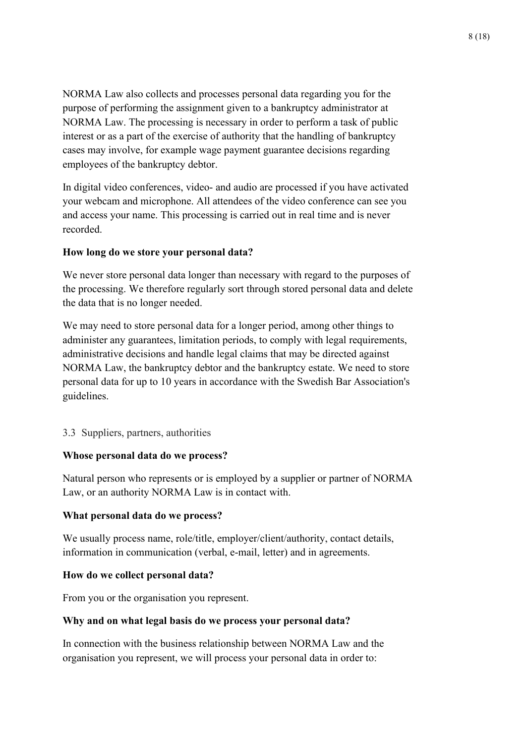NORMA Law also collects and processes personal data regarding you for the purpose of performing the assignment given to a bankruptcy administrator at NORMA Law. The processing is necessary in order to perform a task of public interest or as a part of the exercise of authority that the handling of bankruptcy cases may involve, for example wage payment guarantee decisions regarding employees of the bankruptcy debtor.

In digital video conferences, video- and audio are processed if you have activated your webcam and microphone. All attendees of the video conference can see you and access your name. This processing is carried out in real time and is never recorded.

#### **How long do we store your personal data?**

We never store personal data longer than necessary with regard to the purposes of the processing. We therefore regularly sort through stored personal data and delete the data that is no longer needed.

We may need to store personal data for a longer period, among other things to administer any guarantees, limitation periods, to comply with legal requirements, administrative decisions and handle legal claims that may be directed against NORMA Law, the bankruptcy debtor and the bankruptcy estate. We need to store personal data for up to 10 years in accordance with the Swedish Bar Association's guidelines.

#### <span id="page-7-0"></span>3.3 Suppliers, partners, authorities

#### **Whose personal data do we process?**

Natural person who represents or is employed by a supplier or partner of NORMA Law, or an authority NORMA Law is in contact with.

#### **What personal data do we process?**

We usually process name, role/title, employer/client/authority, contact details, information in communication (verbal, e-mail, letter) and in agreements.

#### **How do we collect personal data?**

From you or the organisation you represent.

#### **Why and on what legal basis do we process your personal data?**

In connection with the business relationship between NORMA Law and the organisation you represent, we will process your personal data in order to: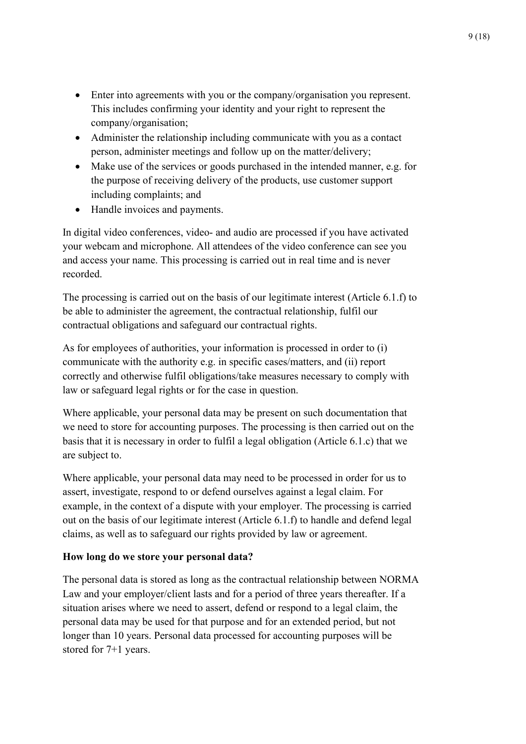- Enter into agreements with you or the company/organisation you represent. This includes confirming your identity and your right to represent the company/organisation;
- Administer the relationship including communicate with you as a contact person, administer meetings and follow up on the matter/delivery;
- Make use of the services or goods purchased in the intended manner, e.g. for the purpose of receiving delivery of the products, use customer support including complaints; and
- Handle invoices and payments.

In digital video conferences, video- and audio are processed if you have activated your webcam and microphone. All attendees of the video conference can see you and access your name. This processing is carried out in real time and is never recorded.

The processing is carried out on the basis of our legitimate interest (Article 6.1.f) to be able to administer the agreement, the contractual relationship, fulfil our contractual obligations and safeguard our contractual rights.

As for employees of authorities, your information is processed in order to (i) communicate with the authority e.g. in specific cases/matters, and (ii) report correctly and otherwise fulfil obligations/take measures necessary to comply with law or safeguard legal rights or for the case in question.

Where applicable, your personal data may be present on such documentation that we need to store for accounting purposes. The processing is then carried out on the basis that it is necessary in order to fulfil a legal obligation (Article 6.1.c) that we are subject to.

Where applicable, your personal data may need to be processed in order for us to assert, investigate, respond to or defend ourselves against a legal claim. For example, in the context of a dispute with your employer. The processing is carried out on the basis of our legitimate interest (Article 6.1.f) to handle and defend legal claims, as well as to safeguard our rights provided by law or agreement.

## **How long do we store your personal data?**

The personal data is stored as long as the contractual relationship between NORMA Law and your employer/client lasts and for a period of three years thereafter. If a situation arises where we need to assert, defend or respond to a legal claim, the personal data may be used for that purpose and for an extended period, but not longer than 10 years. Personal data processed for accounting purposes will be stored for 7+1 years.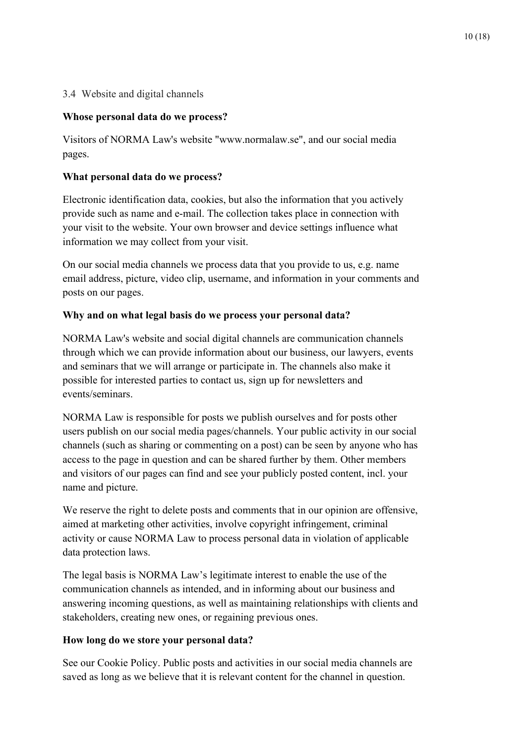# <span id="page-9-0"></span>3.4 Website and digital channels

# **Whose personal data do we process?**

Visitors of NORMA Law's website "www.normalaw.se", and our social media pages.

# **What personal data do we process?**

Electronic identification data, cookies, but also the information that you actively provide such as name and e-mail. The collection takes place in connection with your visit to the website. Your own browser and device settings influence what information we may collect from your visit.

On our social media channels we process data that you provide to us, e.g. name email address, picture, video clip, username, and information in your comments and posts on our pages.

# **Why and on what legal basis do we process your personal data?**

NORMA Law's website and social digital channels are communication channels through which we can provide information about our business, our lawyers, events and seminars that we will arrange or participate in. The channels also make it possible for interested parties to contact us, sign up for newsletters and events/seminars.

NORMA Law is responsible for posts we publish ourselves and for posts other users publish on our social media pages/channels. Your public activity in our social channels (such as sharing or commenting on a post) can be seen by anyone who has access to the page in question and can be shared further by them. Other members and visitors of our pages can find and see your publicly posted content, incl. your name and picture.

We reserve the right to delete posts and comments that in our opinion are offensive, aimed at marketing other activities, involve copyright infringement, criminal activity or cause NORMA Law to process personal data in violation of applicable data protection laws.

The legal basis is NORMA Law's legitimate interest to enable the use of the communication channels as intended, and in informing about our business and answering incoming questions, as well as maintaining relationships with clients and stakeholders, creating new ones, or regaining previous ones.

## **How long do we store your personal data?**

See our Cookie Policy. Public posts and activities in our social media channels are saved as long as we believe that it is relevant content for the channel in question.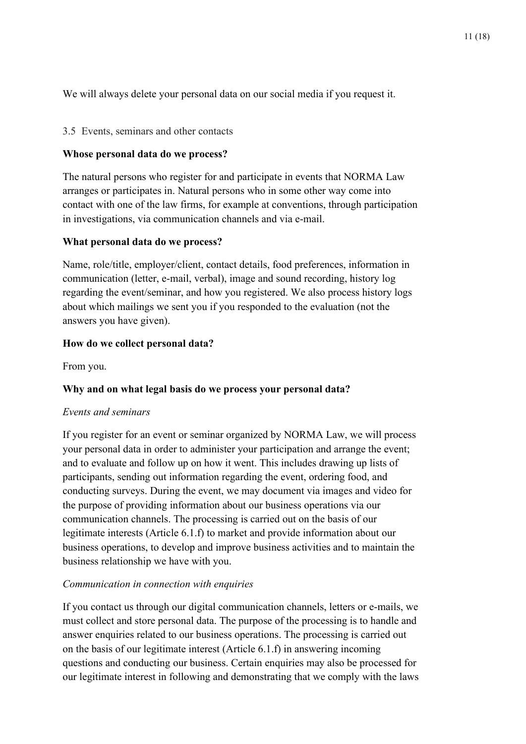We will always delete your personal data on our social media if you request it.

#### <span id="page-10-0"></span>3.5 Events, seminars and other contacts

#### **Whose personal data do we process?**

The natural persons who register for and participate in events that NORMA Law arranges or participates in. Natural persons who in some other way come into contact with one of the law firms, for example at conventions, through participation in investigations, via communication channels and via e-mail.

#### **What personal data do we process?**

Name, role/title, employer/client, contact details, food preferences, information in communication (letter, e-mail, verbal), image and sound recording, history log regarding the event/seminar, and how you registered. We also process history logs about which mailings we sent you if you responded to the evaluation (not the answers you have given).

#### **How do we collect personal data?**

From you.

## **Why and on what legal basis do we process your personal data?**

#### *Events and seminars*

If you register for an event or seminar organized by NORMA Law, we will process your personal data in order to administer your participation and arrange the event; and to evaluate and follow up on how it went. This includes drawing up lists of participants, sending out information regarding the event, ordering food, and conducting surveys. During the event, we may document via images and video for the purpose of providing information about our business operations via our communication channels. The processing is carried out on the basis of our legitimate interests (Article 6.1.f) to market and provide information about our business operations, to develop and improve business activities and to maintain the business relationship we have with you.

#### *Communication in connection with enquiries*

If you contact us through our digital communication channels, letters or e-mails, we must collect and store personal data. The purpose of the processing is to handle and answer enquiries related to our business operations. The processing is carried out on the basis of our legitimate interest (Article 6.1.f) in answering incoming questions and conducting our business. Certain enquiries may also be processed for our legitimate interest in following and demonstrating that we comply with the laws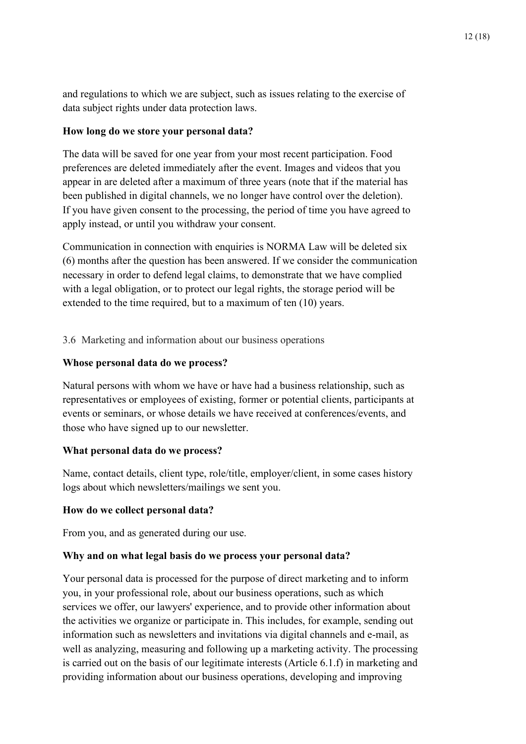and regulations to which we are subject, such as issues relating to the exercise of data subject rights under data protection laws.

### **How long do we store your personal data?**

The data will be saved for one year from your most recent participation. Food preferences are deleted immediately after the event. Images and videos that you appear in are deleted after a maximum of three years (note that if the material has been published in digital channels, we no longer have control over the deletion). If you have given consent to the processing, the period of time you have agreed to apply instead, or until you withdraw your consent.

Communication in connection with enquiries is NORMA Law will be deleted six (6) months after the question has been answered. If we consider the communication necessary in order to defend legal claims, to demonstrate that we have complied with a legal obligation, or to protect our legal rights, the storage period will be extended to the time required, but to a maximum of ten (10) years.

<span id="page-11-0"></span>3.6 Marketing and information about our business operations

#### **Whose personal data do we process?**

Natural persons with whom we have or have had a business relationship, such as representatives or employees of existing, former or potential clients, participants at events or seminars, or whose details we have received at conferences/events, and those who have signed up to our newsletter.

## **What personal data do we process?**

Name, contact details, client type, role/title, employer/client, in some cases history logs about which newsletters/mailings we sent you.

#### **How do we collect personal data?**

From you, and as generated during our use.

#### **Why and on what legal basis do we process your personal data?**

Your personal data is processed for the purpose of direct marketing and to inform you, in your professional role, about our business operations, such as which services we offer, our lawyers' experience, and to provide other information about the activities we organize or participate in. This includes, for example, sending out information such as newsletters and invitations via digital channels and e-mail, as well as analyzing, measuring and following up a marketing activity. The processing is carried out on the basis of our legitimate interests (Article 6.1.f) in marketing and providing information about our business operations, developing and improving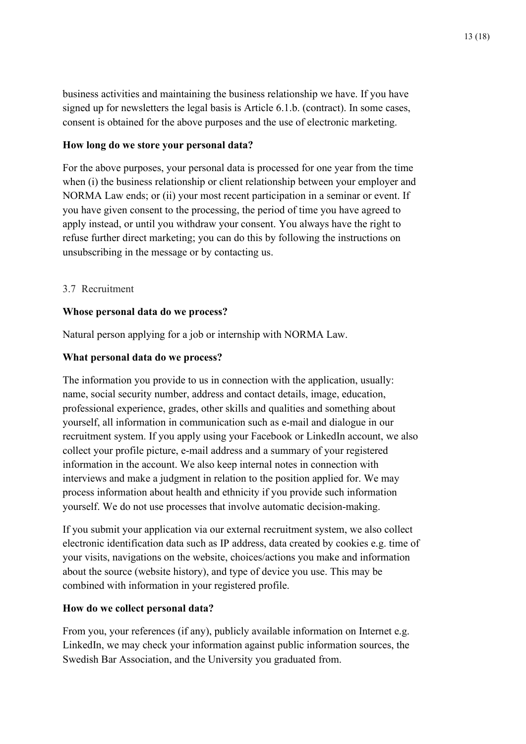business activities and maintaining the business relationship we have. If you have signed up for newsletters the legal basis is Article 6.1.b. (contract). In some cases, consent is obtained for the above purposes and the use of electronic marketing.

#### **How long do we store your personal data?**

For the above purposes, your personal data is processed for one year from the time when (i) the business relationship or client relationship between your employer and NORMA Law ends; or (ii) your most recent participation in a seminar or event. If you have given consent to the processing, the period of time you have agreed to apply instead, or until you withdraw your consent. You always have the right to refuse further direct marketing; you can do this by following the instructions on unsubscribing in the message or by contacting us.

## <span id="page-12-0"></span>3.7 Recruitment

# **Whose personal data do we process?**

Natural person applying for a job or internship with NORMA Law.

# **What personal data do we process?**

The information you provide to us in connection with the application, usually: name, social security number, address and contact details, image, education, professional experience, grades, other skills and qualities and something about yourself, all information in communication such as e-mail and dialogue in our recruitment system. If you apply using your Facebook or LinkedIn account, we also collect your profile picture, e-mail address and a summary of your registered information in the account. We also keep internal notes in connection with interviews and make a judgment in relation to the position applied for. We may process information about health and ethnicity if you provide such information yourself. We do not use processes that involve automatic decision-making.

If you submit your application via our external recruitment system, we also collect electronic identification data such as IP address, data created by cookies e.g. time of your visits, navigations on the website, choices/actions you make and information about the source (website history), and type of device you use. This may be combined with information in your registered profile.

## **How do we collect personal data?**

From you, your references (if any), publicly available information on Internet e.g. LinkedIn, we may check your information against public information sources, the Swedish Bar Association, and the University you graduated from.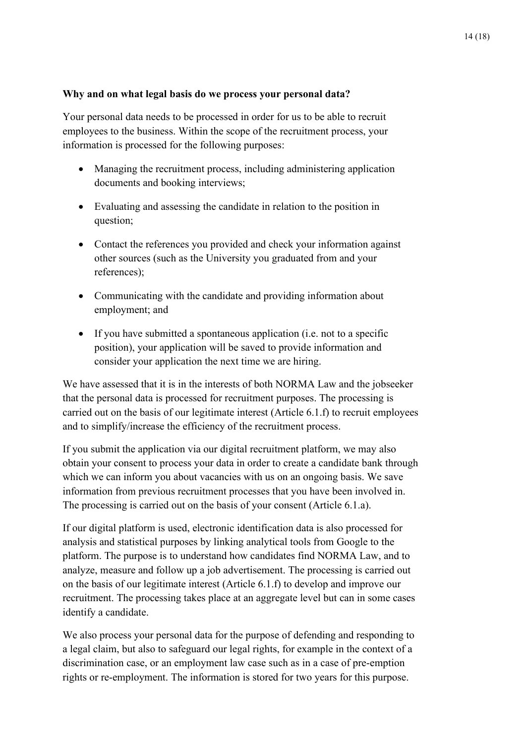#### **Why and on what legal basis do we process your personal data?**

Your personal data needs to be processed in order for us to be able to recruit employees to the business. Within the scope of the recruitment process, your information is processed for the following purposes:

- Managing the recruitment process, including administering application documents and booking interviews;
- Evaluating and assessing the candidate in relation to the position in question;
- Contact the references you provided and check your information against other sources (such as the University you graduated from and your references);
- Communicating with the candidate and providing information about employment; and
- If you have submitted a spontaneous application (i.e. not to a specific position), your application will be saved to provide information and consider your application the next time we are hiring.

We have assessed that it is in the interests of both NORMA Law and the jobseeker that the personal data is processed for recruitment purposes. The processing is carried out on the basis of our legitimate interest (Article 6.1.f) to recruit employees and to simplify/increase the efficiency of the recruitment process.

If you submit the application via our digital recruitment platform, we may also obtain your consent to process your data in order to create a candidate bank through which we can inform you about vacancies with us on an ongoing basis. We save information from previous recruitment processes that you have been involved in. The processing is carried out on the basis of your consent (Article 6.1.a).

If our digital platform is used, electronic identification data is also processed for analysis and statistical purposes by linking analytical tools from Google to the platform. The purpose is to understand how candidates find NORMA Law, and to analyze, measure and follow up a job advertisement. The processing is carried out on the basis of our legitimate interest (Article 6.1.f) to develop and improve our recruitment. The processing takes place at an aggregate level but can in some cases identify a candidate.

We also process your personal data for the purpose of defending and responding to a legal claim, but also to safeguard our legal rights, for example in the context of a discrimination case, or an employment law case such as in a case of pre-emption rights or re-employment. The information is stored for two years for this purpose.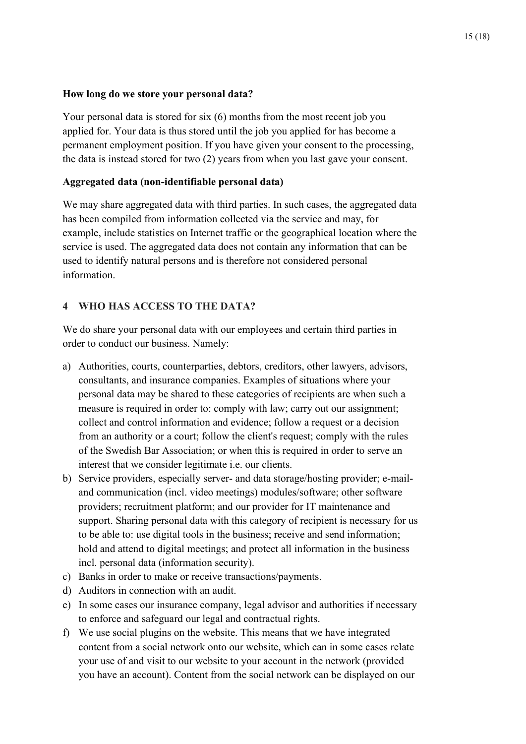#### **How long do we store your personal data?**

Your personal data is stored for six (6) months from the most recent job you applied for. Your data is thus stored until the job you applied for has become a permanent employment position. If you have given your consent to the processing, the data is instead stored for two (2) years from when you last gave your consent.

## **Aggregated data (non-identifiable personal data)**

We may share aggregated data with third parties. In such cases, the aggregated data has been compiled from information collected via the service and may, for example, include statistics on Internet traffic or the geographical location where the service is used. The aggregated data does not contain any information that can be used to identify natural persons and is therefore not considered personal information.

## <span id="page-14-0"></span>**4 WHO HAS ACCESS TO THE DATA?**

We do share your personal data with our employees and certain third parties in order to conduct our business. Namely:

- a) Authorities, courts, counterparties, debtors, creditors, other lawyers, advisors, consultants, and insurance companies. Examples of situations where your personal data may be shared to these categories of recipients are when such a measure is required in order to: comply with law; carry out our assignment; collect and control information and evidence; follow a request or a decision from an authority or a court; follow the client's request; comply with the rules of the Swedish Bar Association; or when this is required in order to serve an interest that we consider legitimate i.e. our clients.
- b) Service providers, especially server- and data storage/hosting provider; e-mailand communication (incl. video meetings) modules/software; other software providers; recruitment platform; and our provider for IT maintenance and support. Sharing personal data with this category of recipient is necessary for us to be able to: use digital tools in the business; receive and send information; hold and attend to digital meetings; and protect all information in the business incl. personal data (information security).
- c) Banks in order to make or receive transactions/payments.
- d) Auditors in connection with an audit.
- e) In some cases our insurance company, legal advisor and authorities if necessary to enforce and safeguard our legal and contractual rights.
- f) We use social plugins on the website. This means that we have integrated content from a social network onto our website, which can in some cases relate your use of and visit to our website to your account in the network (provided you have an account). Content from the social network can be displayed on our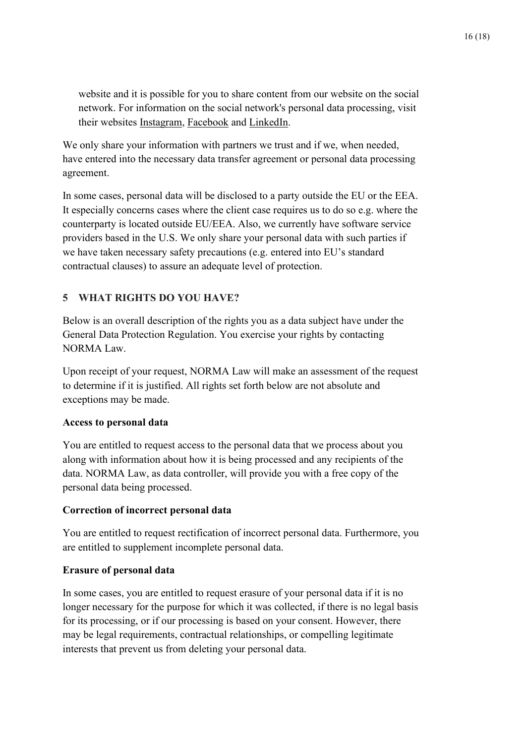website and it is possible for you to share content from our website on the social network. For information on the social network's personal data processing, visit their websites Instagram, [Facebook](https://www.facebook.com/advokatfirmanglimstedt) and [LinkedIn.](https://www.linkedin.com/company/advokatfirman-glimstedt/)

We only share your information with partners we trust and if we, when needed, have entered into the necessary data transfer agreement or personal data processing agreement.

In some cases, personal data will be disclosed to a party outside the EU or the EEA. It especially concerns cases where the client case requires us to do so e.g. where the counterparty is located outside EU/EEA. Also, we currently have software service providers based in the U.S. We only share your personal data with such parties if we have taken necessary safety precautions (e.g. entered into EU's standard contractual clauses) to assure an adequate level of protection.

# <span id="page-15-0"></span>**5 WHAT RIGHTS DO YOU HAVE?**

Below is an overall description of the rights you as a data subject have under the General Data Protection Regulation. You exercise your rights by contacting NORMA Law.

Upon receipt of your request, NORMA Law will make an assessment of the request to determine if it is justified. All rights set forth below are not absolute and exceptions may be made.

## **Access to personal data**

You are entitled to request access to the personal data that we process about you along with information about how it is being processed and any recipients of the data. NORMA Law, as data controller, will provide you with a free copy of the personal data being processed.

## **Correction of incorrect personal data**

You are entitled to request rectification of incorrect personal data. Furthermore, you are entitled to supplement incomplete personal data.

#### **Erasure of personal data**

In some cases, you are entitled to request erasure of your personal data if it is no longer necessary for the purpose for which it was collected, if there is no legal basis for its processing, or if our processing is based on your consent. However, there may be legal requirements, contractual relationships, or compelling legitimate interests that prevent us from deleting your personal data.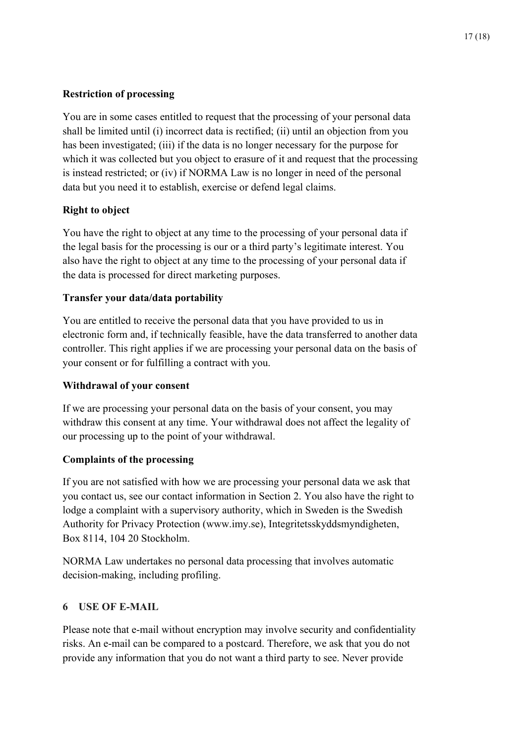# **Restriction of processing**

You are in some cases entitled to request that the processing of your personal data shall be limited until (i) incorrect data is rectified; (ii) until an objection from you has been investigated; (iii) if the data is no longer necessary for the purpose for which it was collected but you object to erasure of it and request that the processing is instead restricted; or (iv) if NORMA Law is no longer in need of the personal data but you need it to establish, exercise or defend legal claims.

# **Right to object**

You have the right to object at any time to the processing of your personal data if the legal basis for the processing is our or a third party's legitimate interest. You also have the right to object at any time to the processing of your personal data if the data is processed for direct marketing purposes.

# **Transfer your data/data portability**

You are entitled to receive the personal data that you have provided to us in electronic form and, if technically feasible, have the data transferred to another data controller. This right applies if we are processing your personal data on the basis of your consent or for fulfilling a contract with you.

## **Withdrawal of your consent**

If we are processing your personal data on the basis of your consent, you may withdraw this consent at any time. Your withdrawal does not affect the legality of our processing up to the point of your withdrawal.

## **Complaints of the processing**

If you are not satisfied with how we are processing your personal data we ask that you contact us, see our contact information in Section [2.](#page-1-1) You also have the right to lodge a complaint with a supervisory authority, which in Sweden is the Swedish Authority for Privacy Protection (www.imy.se), Integritetsskyddsmyndigheten, Box 8114, 104 20 Stockholm.

NORMA Law undertakes no personal data processing that involves automatic decision-making, including profiling.

## <span id="page-16-0"></span>**6 USE OF E-MAIL**

Please note that e-mail without encryption may involve security and confidentiality risks. An e-mail can be compared to a postcard. Therefore, we ask that you do not provide any information that you do not want a third party to see. Never provide